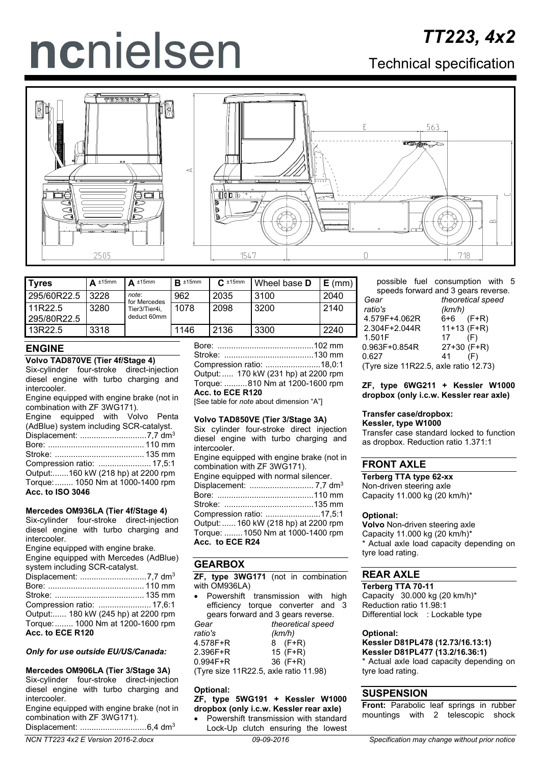# ncnielsen

Technical specification



| <b>Tyres</b>                  | $\Delta$ ±15mm | $\triangle$ ±15mm            | $R \pm 15$ mm | $C_{\cdot}$ ±15mm | Wheel base <b>D</b> | $E$ (mm) |
|-------------------------------|----------------|------------------------------|---------------|-------------------|---------------------|----------|
| 295/60R22.5                   | 3228           | note:<br>for Mercedes        | 962           | 2035              | 3100                | 2040     |
| <b>11R22.5</b><br>295/80R22.5 | 3280           | Tier3/Tier4i,<br>deduct 60mm | 1078          | 2098              | 3200                | 2140     |
| 13R22.5                       | 3318           |                              | 1146          | 2136              | 3300                | 2240     |

# **ENGINE**

## **Volvo TAD870VE (Tier 4f/Stage 4)**

Six-cylinder four-stroke direct-injection diesel engine with turbo charging and intercooler.

Engine equipped with engine brake (not in combination with ZF 3WG171).

|                         | Engine equipped with Volvo Penta        |  |  |
|-------------------------|-----------------------------------------|--|--|
|                         | (AdBlue) system including SCR-catalyst. |  |  |
|                         |                                         |  |  |
|                         |                                         |  |  |
|                         |                                         |  |  |
|                         |                                         |  |  |
|                         | Output:160 kW (218 hp) at 2200 rpm      |  |  |
|                         | Torque:  1050 Nm at 1000-1400 rpm       |  |  |
| <b>Acc. to ISO 3046</b> |                                         |  |  |
|                         |                                         |  |  |

## **Mercedes OM936LA (Tier 4f/Stage 4)**

Six-cylinder four-stroke direct-injection diesel engine with turbo charging and intercooler.

Engine equipped with engine brake.

| Engine equipped with Mercedes (AdBlue) |
|----------------------------------------|
| system including SCR-catalyst.         |
|                                        |
|                                        |
|                                        |
| Compression ratio:  17,6:1             |
| Output: 180 kW (245 hp) at 2200 rpm    |
| Torque:  1000 Nm at 1200-1600 rpm      |
| Acc. to ECE R120                       |

#### *Only for use outside EU/US/Canada:*

**Mercedes OM906LA (Tier 3/Stage 3A)** Six-cylinder four-stroke direct-injection diesel engine with turbo charging and intercooler.

Engine equipped with engine brake (not in combination with ZF 3WG171).

Displacement: .............................6,4 dm3

Bore: ..........................................102 mm Stroke: .......................................130 mm Compression ratio: ........................18,0:1 Output:..... 170 kW (231 hp) at 2200 rpm Torque: ..........810 Nm at 1200-1600 rpm **Acc. to ECE R120**

[See table for *note* about dimension "A"]

## **Volvo TAD850VE (Tier 3/Stage 3A)**

Six cylinder four-stroke direct injection diesel engine with turbo charging and intercooler.

Engine equipped with engine brake (not in combination with ZF 3WG171). Engine equipped with normal silencer. Displacement: ............................ 7,7 dm3

Bore: ..........................................110 mm Stroke: .......................................135 mm Compression ratio: ........................17,5:1 Output:...... 160 kW (218 hp) at 2200 rpm Torque: ........1050 Nm at 1000-1400 rpm **Acc. to ECE R24**

## **GEARBOX**

**ZF, type 3WG171** (not in combination with OM936LA)

• Powershift transmission with high efficiency torque converter and 3 gears forward and 3 gears reverse.<br>frequences for the theoretical speed Gear theoretical speed<br>
ratio's (km/h) *ratio's (km/h)*

| $4.578F + R$                          | $8$ (F+R)  |  |
|---------------------------------------|------------|--|
| $2.396F + R$                          | 15 $(F+R)$ |  |
| $0.994F + R$                          | $36$ (F+R) |  |
| (Tyre size 11R22.5, axle ratio 11.98) |            |  |

## **Optional:**

# **ZF, type 5WG191 + Kessler W1000 dropbox (only i.c.w. Kessler rear axle)**

• Powershift transmission with standard Lock-Up clutch ensuring the lowest possible fuel consumption with 5 speeds forward and 3 gears reverse. *Gear theoretical speed*

| uua                                   | unuunuuu spu  |
|---------------------------------------|---------------|
| ratio's                               | (km/h)        |
| 4.579F+4.062R                         | 6+6 (F+R)     |
| 2.304F+2.044R                         | $11+13$ (F+R) |
| 1.501F                                | (F)<br>17     |
| 0.963F+0.854R                         | $27+30$ (F+R) |
| 0.627                                 | (F)<br>41     |
| (Tyre size 11R22.5, axle ratio 12.73) |               |

**ZF, type 6WG211 + Kessler W1000 dropbox (only i.c.w. Kessler rear axle)**

# **Transfer case/dropbox:**

**Kessler, type W1000** Transfer case standard locked to function as dropbox. Reduction ratio 1.371:1

# **FRONT AXLE**

**Terberg TTA type 62-xx** Non-driven steering axle Capacity 11.000 kg (20 km/h)\*

## **Optional:**

**Volvo** Non-driven steering axle Capacity 11.000 kg (20 km/h)\* \* Actual axle load capacity depending on tyre load rating.

# **REAR AXLE**

**Terberg TTA 70-11** Capacity 30.000 kg (20 km/h)\* Reduction ratio 11.98:1 Differential lock : Lockable type

#### **Optional:**

**Kessler D81PL478 (12.73/16.13:1) Kessler D81PL477 (13.2/16.36:1)** \* Actual axle load capacity depending on tyre load rating.

# **SUSPENSION**

**Front:** Parabolic leaf springs in rubber mountings with 2 telescopic shock